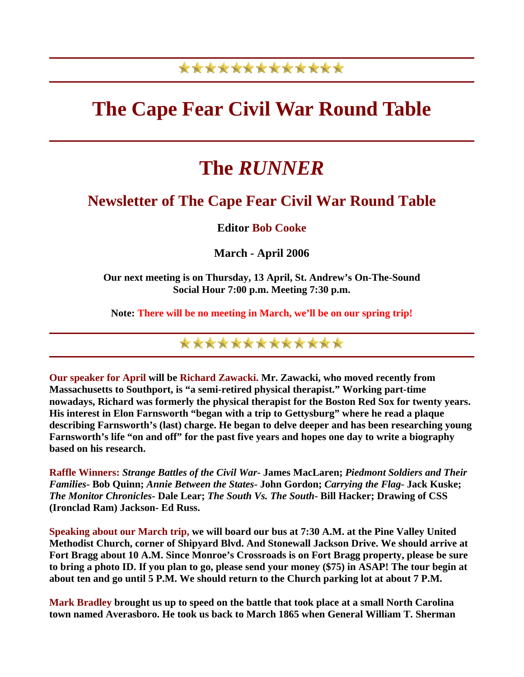## \*\*\*\*\*\*\*\*\*\*\*\*\*

## **The Cape Fear Civil War Round Table**

# **The** *RUNNER*

### **Newsletter of The Cape Fear Civil War Round Table**

### **Editor Bob Cooke**

**March - April 2006** 

**Our next meeting is on Thursday, 13 April, St. Andrew's On-The-Sound Social Hour 7:00 p.m. Meeting 7:30 p.m.** 

**Note: There will be no meeting in March, we'll be on our spring trip!** 

\*\*\*\*\*\*\*\*\*\*\*\*\*

**Our speaker for April will be Richard Zawacki. Mr. Zawacki, who moved recently from Massachusetts to Southport, is "a semi-retired physical therapist." Working part-time nowadays, Richard was formerly the physical therapist for the Boston Red Sox for twenty years. His interest in Elon Farnsworth "began with a trip to Gettysburg" where he read a plaque describing Farnsworth's (last) charge. He began to delve deeper and has been researching young Farnsworth's life "on and off" for the past five years and hopes one day to write a biography based on his research.** 

**Raffle Winners:** *Strange Battles of the Civil War***- James MacLaren;** *Piedmont Soldiers and Their Families***- Bob Quinn;** *Annie Between the States***- John Gordon;** *Carrying the Flag***- Jack Kuske;**  *The Monitor Chronicles***- Dale Lear;** *The South Vs. The South***- Bill Hacker; Drawing of CSS (Ironclad Ram) Jackson- Ed Russ.** 

**Speaking about our March trip, we will board our bus at 7:30 A.M. at the Pine Valley United Methodist Church, corner of Shipyard Blvd. And Stonewall Jackson Drive. We should arrive at Fort Bragg about 10 A.M. Since Monroe's Crossroads is on Fort Bragg property, please be sure to bring a photo ID. If you plan to go, please send your money (\$75) in ASAP! The tour begin at about ten and go until 5 P.M. We should return to the Church parking lot at about 7 P.M.** 

**Mark Bradley brought us up to speed on the battle that took place at a small North Carolina town named Averasboro. He took us back to March 1865 when General William T. Sherman**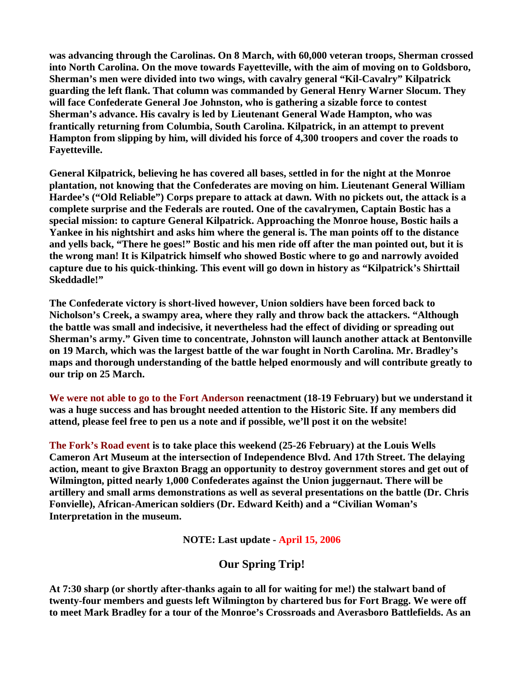**was advancing through the Carolinas. On 8 March, with 60,000 veteran troops, Sherman crossed into North Carolina. On the move towards Fayetteville, with the aim of moving on to Goldsboro, Sherman's men were divided into two wings, with cavalry general "Kil-Cavalry" Kilpatrick guarding the left flank. That column was commanded by General Henry Warner Slocum. They will face Confederate General Joe Johnston, who is gathering a sizable force to contest Sherman's advance. His cavalry is led by Lieutenant General Wade Hampton, who was frantically returning from Columbia, South Carolina. Kilpatrick, in an attempt to prevent Hampton from slipping by him, will divided his force of 4,300 troopers and cover the roads to Fayetteville.** 

**General Kilpatrick, believing he has covered all bases, settled in for the night at the Monroe plantation, not knowing that the Confederates are moving on him. Lieutenant General William Hardee's ("Old Reliable") Corps prepare to attack at dawn. With no pickets out, the attack is a complete surprise and the Federals are routed. One of the cavalrymen, Captain Bostic has a special mission: to capture General Kilpatrick. Approaching the Monroe house, Bostic hails a Yankee in his nightshirt and asks him where the general is. The man points off to the distance and yells back, "There he goes!" Bostic and his men ride off after the man pointed out, but it is the wrong man! It is Kilpatrick himself who showed Bostic where to go and narrowly avoided capture due to his quick-thinking. This event will go down in history as "Kilpatrick's Shirttail Skeddadle!"** 

**The Confederate victory is short-lived however, Union soldiers have been forced back to Nicholson's Creek, a swampy area, where they rally and throw back the attackers. "Although the battle was small and indecisive, it nevertheless had the effect of dividing or spreading out Sherman's army." Given time to concentrate, Johnston will launch another attack at Bentonville on 19 March, which was the largest battle of the war fought in North Carolina. Mr. Bradley's maps and thorough understanding of the battle helped enormously and will contribute greatly to our trip on 25 March.** 

**We were not able to go to the Fort Anderson reenactment (18-19 February) but we understand it was a huge success and has brought needed attention to the Historic Site. If any members did attend, please feel free to pen us a note and if possible, we'll post it on the website!** 

**The Fork's Road event is to take place this weekend (25-26 February) at the Louis Wells Cameron Art Museum at the intersection of Independence Blvd. And 17th Street. The delaying action, meant to give Braxton Bragg an opportunity to destroy government stores and get out of Wilmington, pitted nearly 1,000 Confederates against the Union juggernaut. There will be artillery and small arms demonstrations as well as several presentations on the battle (Dr. Chris Fonvielle), African-American soldiers (Dr. Edward Keith) and a "Civilian Woman's Interpretation in the museum.** 

**NOTE: Last update - April 15, 2006**

#### **Our Spring Trip!**

**At 7:30 sharp (or shortly after-thanks again to all for waiting for me!) the stalwart band of twenty-four members and guests left Wilmington by chartered bus for Fort Bragg. We were off to meet Mark Bradley for a tour of the Monroe's Crossroads and Averasboro Battlefields. As an**